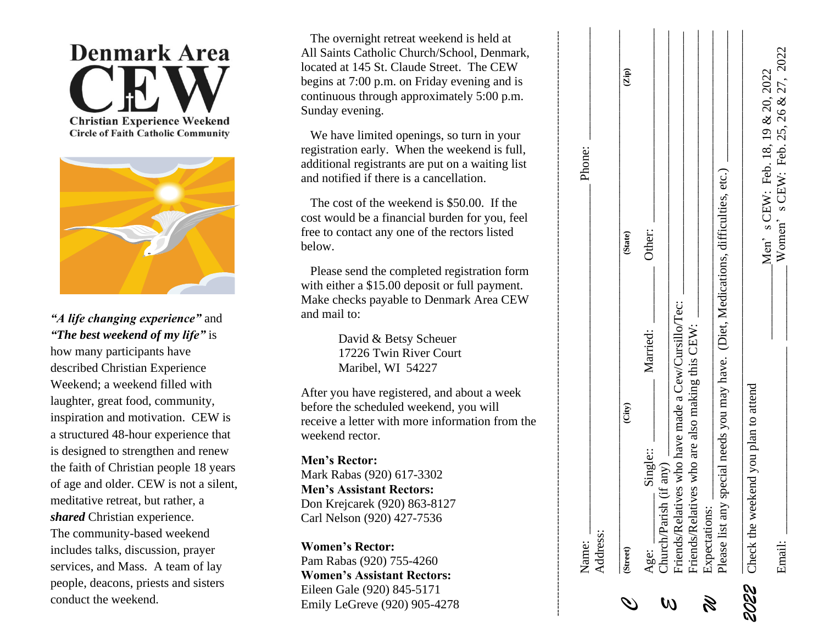

**Circle of Faith Catholic Community** 



*"A life changing experience"* and *"The best weekend of my life"* is how many participants have describe d Christian Experience Weekend; a weekend filled with laughter, great food, community, inspiration and motivation. CEW is a structured 48 -hour experience that is designed to strengthen and renew the faith of Christian people 18 years of age and older. CEW is not a silent, meditative retreat, but rather , a *shared* Christian experience . The community -based weekend includes talks, discussion, prayer services, and Mass. A team of lay people, deacons, priests and sisters conduct the weekend.

 The overnight retreat weekend is held at All Saints Catholic Church/School, Denmark, located at 145 St. Claude Street. The CEW begins at 7:00 p.m. on Friday evening and is continuous through approximately 5:00 p.m. Sunday evening.

 We have limited openings, so turn in your registration early. When the weekend is full, additional registrants are put on a waiting list and notified if there is a cancellation.

 The cost of the weekend is \$50.00. If the cost would be a financial burden for you, feel free to contact any one of the rectors listed below.

 Please send the completed registration form with either a \$15.00 deposit or full payment. Make checks payable to Denmark Area CEW and mail to:

> David & Betsy Scheuer 17226 Twin River Court Maribel, WI 54227

After you have registered, and about a week before the scheduled weekend, you will receive a letter with more information from the weekend rector.

**Men's Rector:** Mark Rabas (920) 617 -3302 **Men's Assistant Rector s :** Don Krejcarek (920) 863 -8127 Carl Nelson (920) 427 -7536

**Women's Rector:** Pam Rabas (920) 755 -4260 **Women's Assistant Rector s :** Eileen Gale (920) 845 -5171 Emily LeGreve (920) 905-4278

| Name:                 |                                                                                                        | Phone:                            |                                     |
|-----------------------|--------------------------------------------------------------------------------------------------------|-----------------------------------|-------------------------------------|
| Address:              |                                                                                                        |                                   |                                     |
| (Street)              | (iity)                                                                                                 | (State)                           | $\overline{\text{Zip}}$             |
| Church/Parish<br>Age: | Married:<br>Single::<br>$(f \text{ any})$                                                              | Other:                            |                                     |
|                       | Friends/Relatives who have made a Cew/Cursillo/Tec:<br>Friends/Relatives who are also making this CEW: |                                   |                                     |
| Expectations:<br>R)   |                                                                                                        |                                   |                                     |
|                       | Please list any special needs you may have. (Diet, Medications, difficulties, etc.)                    |                                   |                                     |
|                       | 2022 Check the weekend you plan to attend                                                              |                                   |                                     |
| Email:                |                                                                                                        | Men's CEW: Feb. 18, 19 & 20, 2022 | Women's CEW: Feb. 25, 26 & 27, 2022 |